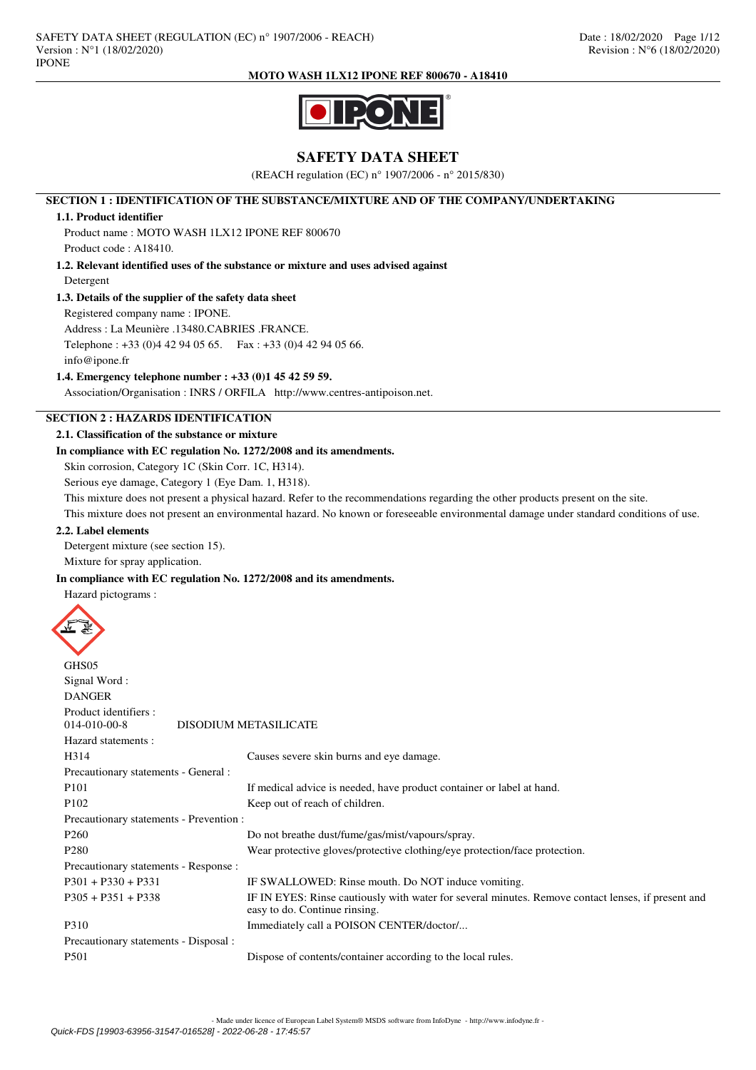

# **SAFETY DATA SHEET**

(REACH regulation (EC) n° 1907/2006 - n° 2015/830)

# **SECTION 1 : IDENTIFICATION OF THE SUBSTANCE/MIXTURE AND OF THE COMPANY/UNDERTAKING**

# **1.1. Product identifier**

Product name : MOTO WASH 1LX12 IPONE REF 800670 Product code : A18410.

# **1.2. Relevant identified uses of the substance or mixture and uses advised against** Detergent

# **1.3. Details of the supplier of the safety data sheet**

Registered company name : IPONE.

Address : La Meunière .13480.CABRIES .FRANCE.

Telephone : +33 (0)4 42 94 05 65. Fax : +33 (0)4 42 94 05 66.

info@ipone.fr

# **1.4. Emergency telephone number : +33 (0)1 45 42 59 59.**

Association/Organisation : INRS / ORFILA http://www.centres-antipoison.net.

# **SECTION 2 : HAZARDS IDENTIFICATION**

# **2.1. Classification of the substance or mixture**

# **In compliance with EC regulation No. 1272/2008 and its amendments.**

Skin corrosion, Category 1C (Skin Corr. 1C, H314).

Serious eye damage, Category 1 (Eye Dam. 1, H318).

This mixture does not present a physical hazard. Refer to the recommendations regarding the other products present on the site.

This mixture does not present an environmental hazard. No known or foreseeable environmental damage under standard conditions of use.

## **2.2. Label elements**

Detergent mixture (see section 15).

Mixture for spray application.

# **In compliance with EC regulation No. 1272/2008 and its amendments.**

Hazard pictograms :



| <b>ULLOU</b>                            |                                                                                                                                     |
|-----------------------------------------|-------------------------------------------------------------------------------------------------------------------------------------|
| Signal Word:                            |                                                                                                                                     |
| <b>DANGER</b>                           |                                                                                                                                     |
| Product identifiers :                   |                                                                                                                                     |
| $014 - 010 - 00 - 8$                    | <b>DISODIUM METASILICATE</b>                                                                                                        |
| Hazard statements:                      |                                                                                                                                     |
| H314                                    | Causes severe skin burns and eye damage.                                                                                            |
| Precautionary statements - General :    |                                                                                                                                     |
| P <sub>101</sub>                        | If medical advice is needed, have product container or label at hand.                                                               |
| P <sub>102</sub>                        | Keep out of reach of children.                                                                                                      |
| Precautionary statements - Prevention : |                                                                                                                                     |
| P <sub>260</sub>                        | Do not breathe dust/fume/gas/mist/vapours/spray.                                                                                    |
| P <sub>280</sub>                        | Wear protective gloves/protective clothing/eye protection/face protection.                                                          |
| Precautionary statements - Response :   |                                                                                                                                     |
| $P301 + P330 + P331$                    | IF SWALLOWED: Rinse mouth. Do NOT induce vomiting.                                                                                  |
| $P305 + P351 + P338$                    | IF IN EYES: Rinse cautiously with water for several minutes. Remove contact lenses, if present and<br>easy to do. Continue rinsing. |
| P310                                    | Immediately call a POISON CENTER/doctor/                                                                                            |
| Precautionary statements - Disposal :   |                                                                                                                                     |
| P <sub>501</sub>                        | Dispose of contents/container according to the local rules.                                                                         |
|                                         |                                                                                                                                     |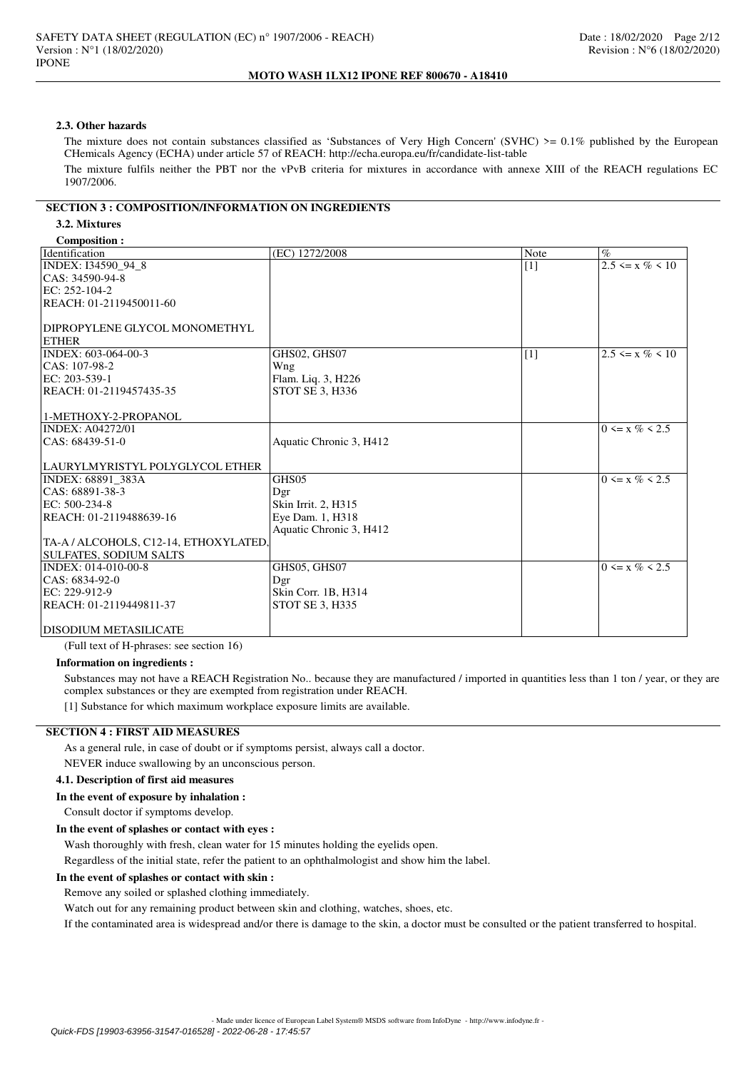## **2.3. Other hazards**

The mixture does not contain substances classified as 'Substances of Very High Concern' (SVHC)  $> = 0.1\%$  published by the European CHemicals Agency (ECHA) under article 57 of REACH: http://echa.europa.eu/fr/candidate-list-table

The mixture fulfils neither the PBT nor the vPvB criteria for mixtures in accordance with annexe XIII of the REACH regulations EC 1907/2006.

# **SECTION 3 : COMPOSITION/INFORMATION ON INGREDIENTS**

## **3.2. Mixtures**

## **Composition :**

| Composition.                          |                         |       |                       |
|---------------------------------------|-------------------------|-------|-----------------------|
| Identification                        | (EC) 1272/2008          | Note  | $\%$                  |
| INDEX: I34590_94_8                    |                         | $[1]$ | $2.5 \le x \% \le 10$ |
| CAS: 34590-94-8                       |                         |       |                       |
| EC: 252-104-2                         |                         |       |                       |
| REACH: 01-2119450011-60               |                         |       |                       |
|                                       |                         |       |                       |
| DIPROPYLENE GLYCOL MONOMETHYL         |                         |       |                       |
| <b>ETHER</b>                          |                         |       |                       |
| INDEX: 603-064-00-3                   | GHS02, GHS07            | $[1]$ | $2.5 \le x \% \le 10$ |
| $ CAS: 107-98-2$                      | Wng                     |       |                       |
| EC: 203-539-1                         | Flam. Liq. 3, H226      |       |                       |
| REACH: 01-2119457435-35               | STOT SE 3, H336         |       |                       |
|                                       |                         |       |                       |
| 1-METHOXY-2-PROPANOL                  |                         |       |                       |
| <b>INDEX: A04272/01</b>               |                         |       | $0 \le x \% \le 2.5$  |
| $ CAS: 68439-51-0$                    | Aquatic Chronic 3, H412 |       |                       |
|                                       |                         |       |                       |
| LAURYLMYRISTYL POLYGLYCOL ETHER       |                         |       |                       |
| INDEX: 68891 383A                     | GHS05                   |       | $0 \le x \% \le 2.5$  |
| CAS: 68891-38-3                       | Dgr                     |       |                       |
| EC: 500-234-8                         | Skin Irrit. 2, H315     |       |                       |
| REACH: 01-2119488639-16               | Eye Dam. 1, H318        |       |                       |
|                                       | Aquatic Chronic 3, H412 |       |                       |
| TA-A / ALCOHOLS, C12-14, ETHOXYLATED, |                         |       |                       |
| <b>SULFATES, SODIUM SALTS</b>         |                         |       |                       |
| INDEX: 014-010-00-8                   | GHS05, GHS07            |       | $0 \le x \% \le 2.5$  |
| CAS: 6834-92-0                        | Dgr                     |       |                       |
| EC: 229-912-9                         | Skin Corr. 1B, H314     |       |                       |
| REACH: 01-2119449811-37               | <b>STOT SE 3, H335</b>  |       |                       |
|                                       |                         |       |                       |
| <b>DISODIUM METASILICATE</b>          |                         |       |                       |

(Full text of H-phrases: see section 16)

## **Information on ingredients :**

Substances may not have a REACH Registration No.. because they are manufactured / imported in quantities less than 1 ton / year, or they are complex substances or they are exempted from registration under REACH.

[1] Substance for which maximum workplace exposure limits are available.

# **SECTION 4 : FIRST AID MEASURES**

As a general rule, in case of doubt or if symptoms persist, always call a doctor.

NEVER induce swallowing by an unconscious person.

## **4.1. Description of first aid measures**

## **In the event of exposure by inhalation :**

Consult doctor if symptoms develop.

**In the event of splashes or contact with eyes :**

Wash thoroughly with fresh, clean water for 15 minutes holding the eyelids open.

Regardless of the initial state, refer the patient to an ophthalmologist and show him the label.

## **In the event of splashes or contact with skin :**

Remove any soiled or splashed clothing immediately.

Watch out for any remaining product between skin and clothing, watches, shoes, etc.

If the contaminated area is widespread and/or there is damage to the skin, a doctor must be consulted or the patient transferred to hospital.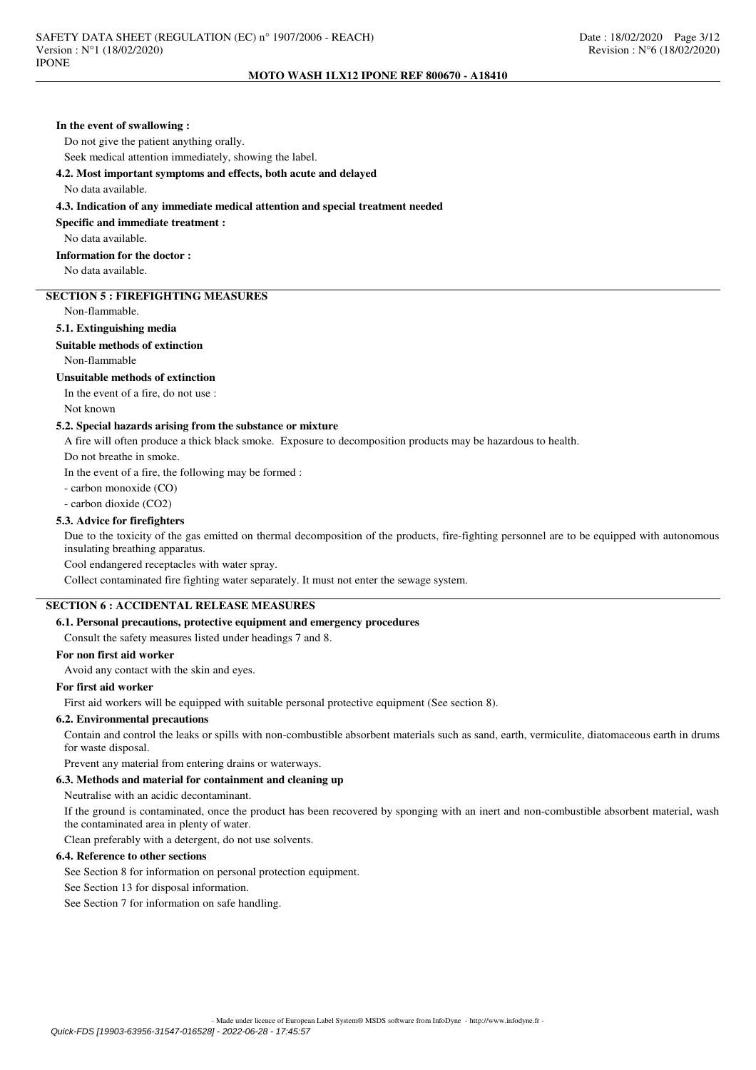## **In the event of swallowing :**

Do not give the patient anything orally.

Seek medical attention immediately, showing the label.

**4.2. Most important symptoms and effects, both acute and delayed**

No data available.

### **4.3. Indication of any immediate medical attention and special treatment needed**

**Specific and immediate treatment :**

No data available.

**Information for the doctor :**

No data available.

# **SECTION 5 : FIREFIGHTING MEASURES**

Non-flammable.

# **5.1. Extinguishing media**

# **Suitable methods of extinction**

Non-flammable

## **Unsuitable methods of extinction**

In the event of a fire, do not use :

Not known

## **5.2. Special hazards arising from the substance or mixture**

A fire will often produce a thick black smoke. Exposure to decomposition products may be hazardous to health.

Do not breathe in smoke.

In the event of a fire, the following may be formed :

- carbon monoxide (CO)

- carbon dioxide (CO2)

## **5.3. Advice for firefighters**

Due to the toxicity of the gas emitted on thermal decomposition of the products, fire-fighting personnel are to be equipped with autonomous insulating breathing apparatus.

Cool endangered receptacles with water spray.

Collect contaminated fire fighting water separately. It must not enter the sewage system.

# **SECTION 6 : ACCIDENTAL RELEASE MEASURES**

## **6.1. Personal precautions, protective equipment and emergency procedures**

Consult the safety measures listed under headings 7 and 8.

# **For non first aid worker**

Avoid any contact with the skin and eyes.

## **For first aid worker**

First aid workers will be equipped with suitable personal protective equipment (See section 8).

## **6.2. Environmental precautions**

Contain and control the leaks or spills with non-combustible absorbent materials such as sand, earth, vermiculite, diatomaceous earth in drums for waste disposal.

Prevent any material from entering drains or waterways.

# **6.3. Methods and material for containment and cleaning up**

Neutralise with an acidic decontaminant.

If the ground is contaminated, once the product has been recovered by sponging with an inert and non-combustible absorbent material, wash the contaminated area in plenty of water.

Clean preferably with a detergent, do not use solvents.

# **6.4. Reference to other sections**

See Section 8 for information on personal protection equipment.

See Section 13 for disposal information.

See Section 7 for information on safe handling.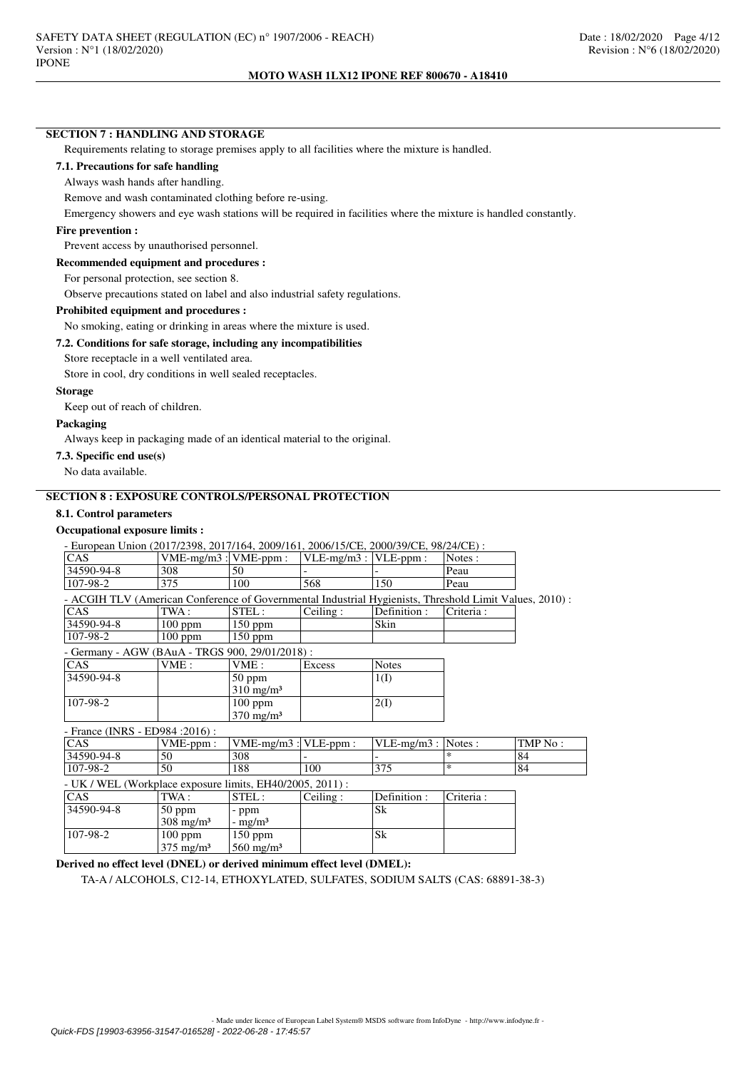# **SECTION 7 : HANDLING AND STORAGE**

Requirements relating to storage premises apply to all facilities where the mixture is handled.

## **7.1. Precautions for safe handling**

### Always wash hands after handling.

Remove and wash contaminated clothing before re-using.

Emergency showers and eye wash stations will be required in facilities where the mixture is handled constantly.

# **Fire prevention :**

Prevent access by unauthorised personnel.

**Recommended equipment and procedures :**

For personal protection, see section 8.

Observe precautions stated on label and also industrial safety regulations.

## **Prohibited equipment and procedures :**

No smoking, eating or drinking in areas where the mixture is used.

# **7.2. Conditions for safe storage, including any incompatibilities**

Store receptacle in a well ventilated area.

Store in cool, dry conditions in well sealed receptacles.

# **Storage**

Keep out of reach of children.

# **Packaging**

Always keep in packaging made of an identical material to the original.

# **7.3. Specific end use(s)**

No data available.

# **SECTION 8 : EXPOSURE CONTROLS/PERSONAL PROTECTION**

# **8.1. Control parameters**

#### **Occupational exposure limits :**

| - European Union (2017/2398, 2017/164, 2009/161, 2006/15/CE, 2000/39/CE, 98/24/CE) :                   |                      |                         |              |               |               |         |
|--------------------------------------------------------------------------------------------------------|----------------------|-------------------------|--------------|---------------|---------------|---------|
| <b>CAS</b>                                                                                             | $VME-mg/m3$ :        | $VME-ppm$ :             | $VLE-mg/m3:$ | VLE-ppm:      | Notes:        |         |
| 34590-94-8                                                                                             | 308<br>50            |                         |              |               | Peau          |         |
| 107-98-2                                                                                               | 375                  | 100                     | 568          | 150           | Peau          |         |
| - ACGIH TLV (American Conference of Governmental Industrial Hygienists, Threshold Limit Values, 2010): |                      |                         |              |               |               |         |
| <b>CAS</b>                                                                                             | TWA :                | STEL:                   | Ceiling:     | Definition :  | Criteria:     |         |
| 34590-94-8                                                                                             | $100$ ppm            | $150$ ppm               |              | Skin          |               |         |
| 107-98-2                                                                                               | $100$ ppm            | $150$ ppm               |              |               |               |         |
| - Germany - AGW (BAuA - TRGS 900, 29/01/2018) :                                                        |                      |                         |              |               |               |         |
| <b>CAS</b>                                                                                             | VME:                 | VME:                    | Excess       | <b>Notes</b>  |               |         |
| 34590-94-8                                                                                             |                      | $50$ ppm                |              | 1(I)          |               |         |
|                                                                                                        |                      | $310 \text{ mg/m}^3$    |              |               |               |         |
| 107-98-2                                                                                               |                      | $100$ ppm               |              | 2(I)          |               |         |
|                                                                                                        |                      | $370 \text{ mg/m}^3$    |              |               |               |         |
| - France (INRS - ED984 : 2016) :                                                                       |                      |                         |              |               |               |         |
| CAS                                                                                                    | VME-ppm:             | $VME-mg/m3:$            | VLE-ppm:     | $VLE-mg/m3$ : | Notes:        | TMP No: |
| 34590-94-8                                                                                             | 50                   | 308                     |              |               | $\mathcal{H}$ | 84      |
| 107-98-2                                                                                               | 50                   | 188                     | 100          | 375           | $\ast$        | 84      |
| - UK / WEL (Workplace exposure limits, EH40/2005, 2011) :                                              |                      |                         |              |               |               |         |
| <b>CAS</b>                                                                                             | TWA:                 | STEL:                   | Ceiling:     | Definition :  | Criteria:     |         |
| 34590-94-8                                                                                             | $50$ ppm             | - ppm                   |              | Sk            |               |         |
|                                                                                                        | $308 \text{ mg/m}^3$ | - mg/m <sup>3</sup>     |              |               |               |         |
| 107-98-2                                                                                               | $100$ ppm            | $150$ ppm               |              | Sk            |               |         |
|                                                                                                        | $375 \text{ mg/m}^3$ | $560$ mg/m <sup>3</sup> |              |               |               |         |

# **Derived no effect level (DNEL) or derived minimum effect level (DMEL):**

TA-A / ALCOHOLS, C12-14, ETHOXYLATED, SULFATES, SODIUM SALTS (CAS: 68891-38-3)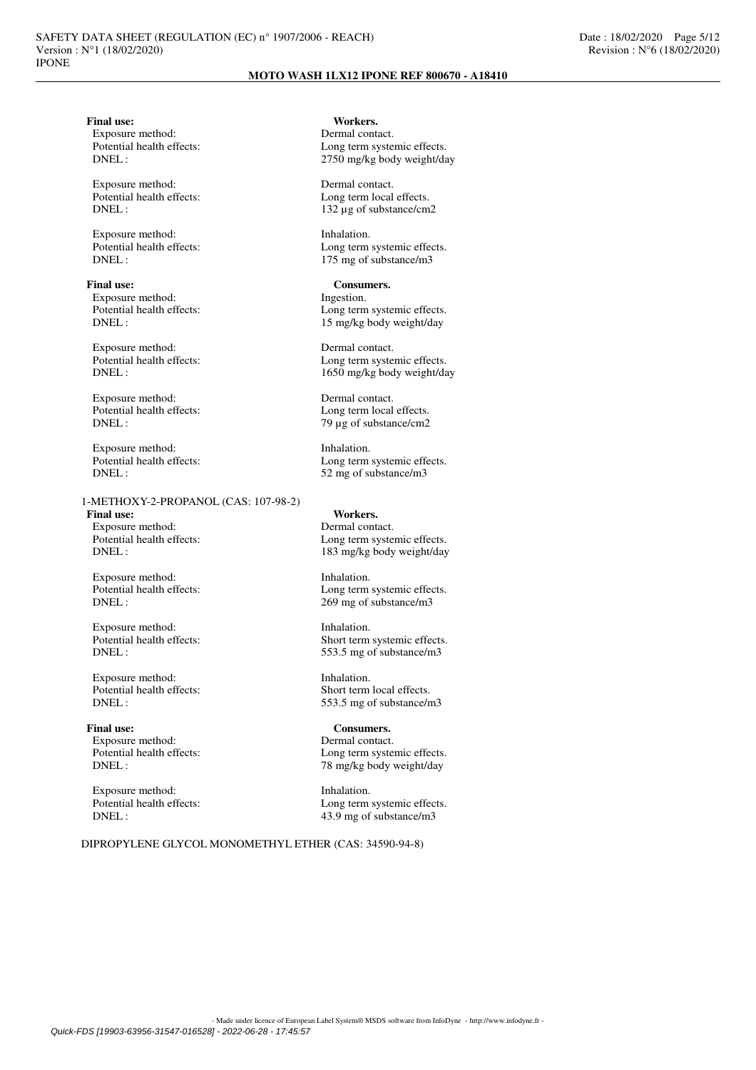Exposure method:<br>Potential health effects:

Exposure method: Dermal contact.<br>
Potential health effects: Long term local

Exposure method: Inhalation.<br>
Potential health effects: I congress

**Final use:** Consumers.<br>
Exposure method: The lines of the lines of the lines of the lines of the lines of the lines of the lines of the lines of the lines of the lines of the lines of the lines of the lines of the lines o Exposure method:

Exposure method: Dermal contact.<br>
Potential health effects: Long term system

Exposure method: Dermal contact.<br>
Potential health effects: Long term local Potential health effects:<br>
DNEL:<br>  $79 \text{ µg} \text{ of substance/cm2}$ 

Exposure method: Inhalation.<br>
Potential health effects: I cong term DNEL : 52 mg of substance/m3

## 1-METHOXY-2-PROPANOL (CAS: 107-98-2)

**Final use: Workers.** Exposure method: Dermal contact.<br>
Potential health effects: Long term system

Exposure method: Inhalation.<br>
Potential health effects: Long term<br>
Long term

Exposure method: Inhalation.<br>
Potential health effects: Short term<br>
Short term

Potential health effects:<br>DNEL :

Final use: Consumers. Exposure method: Dermal contact.<br>
Potential health effects: Long term system

Exposure method: Inhalation.<br>
Potential health effects: Long term<br>
Long term

**Final use:** Workers.<br> **Fxnosure method:** Dermal contact Potential health effects:<br>
DNFI:  $2750 \text{ mo/kg}$  hody weight/da 2750 mg/kg body weight/day

Potential health effects:<br>
Dong term local effects.<br>  $\frac{132 \text{ u s}}{132 \text{ u s}}$  of substance/cm  $132 \mu$ g of substance/cm2

Potential health effects:<br>
DNEL:<br>
175 ms of substance/m3 175 mg of substance/m3

Potential health effects:<br>
DNEL:<br>  $15 \text{ m}g/\text{kg}$  body weight/day 15 mg/kg body weight/day

Potential health effects:<br>
DNEL:<br>  $1650 \text{ m} \sigma/\text{kg}$  hody weight/da 1650 mg/kg body weight/day

 $79 \mu g$  of substance/cm2

Long term systemic effects.

Potential health effects:<br>
DNFI: 183 mo/kg hody weight/day 183 mg/kg body weight/day

Long term systemic effects. DNEL : 269 mg of substance/m3

Potential health effects:<br>
Short term systemic effects.<br>
S53.5 mg of substance/m3 553.5 mg of substance/m3

Exposure method: Inhalation.<br>
Potential health effects: Short term local effects. 553.5 mg of substance/m3

Long term systemic effects. DNEL : 78 mg/kg body weight/day

Potential health effects:<br>
DNFI:  $\frac{439 \text{ mo of substance/m3}}{2}$ 43.9 mg of substance/m3

DIPROPYLENE GLYCOL MONOMETHYL ETHER (CAS: 34590-94-8)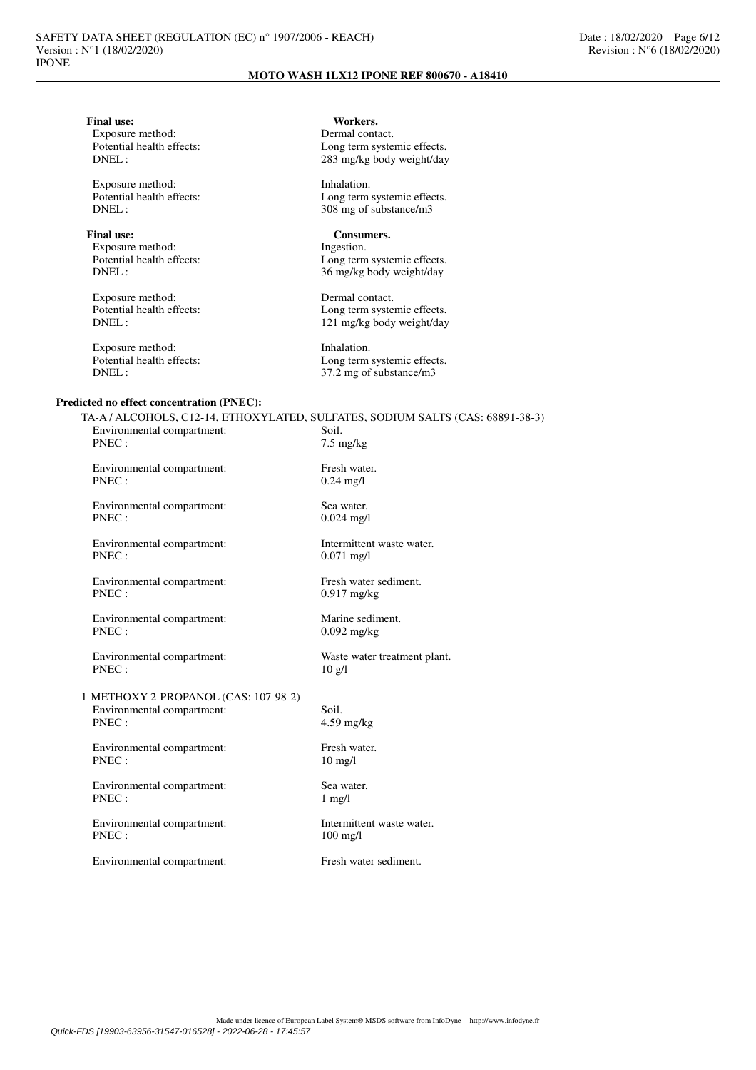Final use: Workers.<br>
Exposure method: **Exposure method:** Dermal contact. Exposure method:<br>Potential health effects: Potential health effects:<br>
DNFI: 283 mo/kg hody weight/day

Exposure method: Inhalation.<br>
Potential health effects: Long term<br>
Long term

Final use: Consumers.<br>
Exposure method: The settlement of the settlement of the settlement of the settlement of the settlement of the settlement of the settlement of the settlement of the settlement of the settlement of th Exposure method:<br>Potential health effects:

Exposure method: Dermal contact.

Exposure method: Inhalation.<br>
Potential health effects: Inhalation.<br>
Long term

# **Predicted no effect concentration (PNEC):**

283 mg/kg body weight/day

Potential health effects:<br>
DNEL:<br>  $308 \text{ mg of substance/m3}$ 308 mg of substance/m3

Potential health effects:<br>
DNEL:<br>  $36 \text{ mg/kg body weight/day}$ 36 mg/kg body weight/day

Potential health effects:<br>
DNEL:<br>
121 mg/kg body weight/day 121 mg/kg body weight/day

Potential health effects:<br>
DNEL:<br>  $37.2 \text{ ms of substance/m3}$ 37.2 mg of substance/m3

Environmental compartment: Soil.<br>PNEC:  $7.5 \text{ m}$  $7.5$  mg/kg Environmental compartment: Fresh water.<br>PNEC: 0.24 mg/l  $0.24$  mg/l Environmental compartment: Sea water. PNEC : 0.024 mg/l Environmental compartment: Intermittent waste water.<br>PNEC: 0.071 mg/l  $0.071$  mg/l Environmental compartment: Fresh water sediment.<br>PNEC: 0.917 mg/kg  $0.917$  mg/kg Environmental compartment: Marine sediment.<br>PNEC: 0.092 mg/kg  $0.092$  mg/kg Environmental compartment: Waste water treatment plant.

TA-A / ALCOHOLS, C12-14, ETHOXYLATED, SULFATES, SODIUM SALTS (CAS: 68891-38-3)

 $PNEC: 10 g/l$ 

1-METHOXY-2-PROPANOL (CAS: 107-98-2) Environmental compartment: Soil.<br>PNEC: 4.59

Environmental compartment: Fresh water.<br>PNEC:  $10 \text{ mg/l}$ PNEC :

Environmental compartment: Sea water.<br>PNEC : 1 mg/l PNEC :

Environmental compartment: Intermittent waste water.<br>PNEC:  $100 \text{ mg/l}$ 

Environmental compartment: Fresh water sediment.

 $4.59$  mg/kg

100 mg/l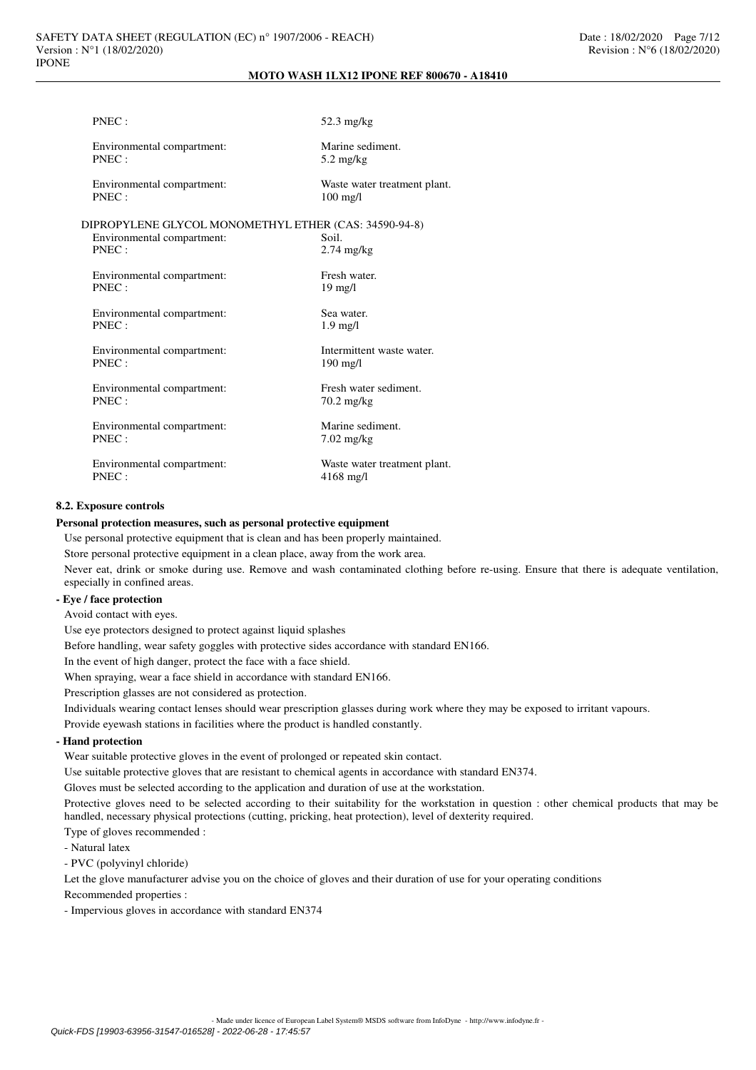| PNEC:                                                 | $52.3 \text{ mg/kg}$                               |
|-------------------------------------------------------|----------------------------------------------------|
| Environmental compartment:<br>PNEC:                   | Marine sediment.<br>$5.2 \text{ mg/kg}$            |
| Environmental compartment:<br>PNEC:                   | Waste water treatment plant.<br>$100 \text{ mg/l}$ |
| DIPROPYLENE GLYCOL MONOMETHYL ETHER (CAS: 34590-94-8) |                                                    |
| Environmental compartment:                            | Soil.                                              |
| PNEC:                                                 | $2.74$ mg/kg                                       |
| Environmental compartment:                            | Fresh water                                        |
| PNEC:                                                 | $19 \text{ mg/l}$                                  |
|                                                       |                                                    |
| Environmental compartment:                            | Sea water.                                         |
| PNEC:                                                 | $1.9$ mg/l                                         |
| Environmental compartment:                            | Intermittent waste water.                          |
| PNEC:                                                 | $190 \text{ mg/l}$                                 |
|                                                       |                                                    |
| Environmental compartment:                            | Fresh water sediment.                              |
| PNEC:                                                 | $70.2 \text{ mg/kg}$                               |
| Environmental compartment:                            | Marine sediment.                                   |
| PNEC:                                                 | $7.02 \text{ mg/kg}$                               |
|                                                       |                                                    |
| Environmental compartment:                            | Waste water treatment plant.                       |
| PNEC:                                                 | $4168$ mg/l                                        |
|                                                       |                                                    |

# **8.2. Exposure controls**

### **Personal protection measures, such as personal protective equipment**

Use personal protective equipment that is clean and has been properly maintained.

Store personal protective equipment in a clean place, away from the work area.

Never eat, drink or smoke during use. Remove and wash contaminated clothing before re-using. Ensure that there is adequate ventilation, especially in confined areas.

# **- Eye / face protection**

Avoid contact with eyes.

Use eye protectors designed to protect against liquid splashes

Before handling, wear safety goggles with protective sides accordance with standard EN166.

In the event of high danger, protect the face with a face shield.

When spraying, wear a face shield in accordance with standard EN166.

Prescription glasses are not considered as protection.

Individuals wearing contact lenses should wear prescription glasses during work where they may be exposed to irritant vapours.

Provide eyewash stations in facilities where the product is handled constantly.

# **- Hand protection**

Wear suitable protective gloves in the event of prolonged or repeated skin contact.

Use suitable protective gloves that are resistant to chemical agents in accordance with standard EN374.

Gloves must be selected according to the application and duration of use at the workstation.

Protective gloves need to be selected according to their suitability for the workstation in question : other chemical products that may be handled, necessary physical protections (cutting, pricking, heat protection), level of dexterity required.

Type of gloves recommended :

- Natural latex

- PVC (polyvinyl chloride)

Let the glove manufacturer advise you on the choice of gloves and their duration of use for your operating conditions

Recommended properties :

- Impervious gloves in accordance with standard EN374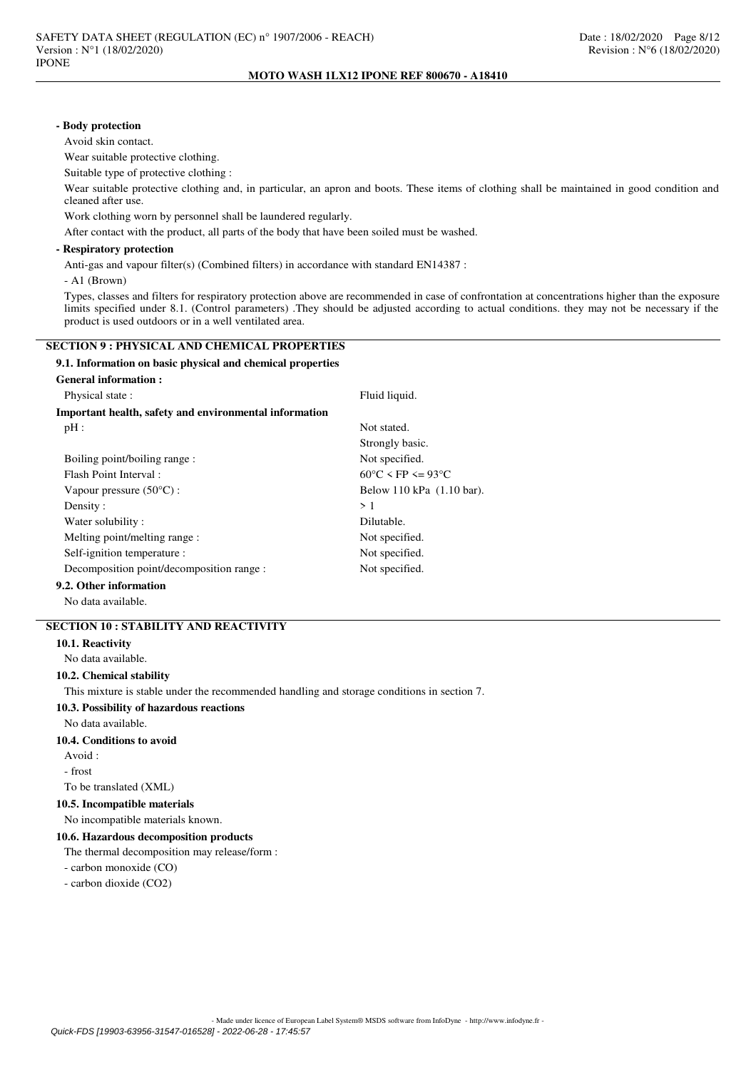# **- Body protection**

Avoid skin contact.

Wear suitable protective clothing.

Suitable type of protective clothing :

Wear suitable protective clothing and, in particular, an apron and boots. These items of clothing shall be maintained in good condition and cleaned after use.

Work clothing worn by personnel shall be laundered regularly.

After contact with the product, all parts of the body that have been soiled must be washed.

## **- Respiratory protection**

Anti-gas and vapour filter(s) (Combined filters) in accordance with standard EN14387 :

- A1 (Brown)

Types, classes and filters for respiratory protection above are recommended in case of confrontation at concentrations higher than the exposure limits specified under 8.1. (Control parameters) .They should be adjusted according to actual conditions. they may not be necessary if the product is used outdoors or in a well ventilated area.

# **SECTION 9 : PHYSICAL AND CHEMICAL PROPERTIES**

## **9.1. Information on basic physical and chemical properties**

| <b>General information :</b>                           |                                        |  |  |
|--------------------------------------------------------|----------------------------------------|--|--|
| Physical state:                                        | Fluid liquid.                          |  |  |
| Important health, safety and environmental information |                                        |  |  |
| $pH$ :                                                 | Not stated.                            |  |  |
|                                                        | Strongly basic.                        |  |  |
| Boiling point/boiling range:                           | Not specified.                         |  |  |
| Flash Point Interval:                                  | $60^{\circ}$ C < FP <= 93 $^{\circ}$ C |  |  |
| Vapour pressure $(50^{\circ}C)$ :                      | Below 110 kPa (1.10 bar).              |  |  |
| Density:                                               | >1                                     |  |  |
| Water solubility:                                      | Dilutable.                             |  |  |
| Melting point/melting range:                           | Not specified.                         |  |  |
| Self-ignition temperature :                            | Not specified.                         |  |  |
| Decomposition point/decomposition range :              | Not specified.                         |  |  |
| $0.2 \cdot 1.5$                                        |                                        |  |  |

# **9.2. Other information**

No data available.

# **SECTION 10 : STABILITY AND REACTIVITY**

**10.1. Reactivity**

No data available.

# **10.2. Chemical stability**

This mixture is stable under the recommended handling and storage conditions in section 7.

**10.3. Possibility of hazardous reactions**

No data available.

## **10.4. Conditions to avoid**

Avoid :

- frost

To be translated (XML)

## **10.5. Incompatible materials**

No incompatible materials known.

## **10.6. Hazardous decomposition products**

The thermal decomposition may release/form :

- carbon monoxide (CO)

- carbon dioxide (CO2)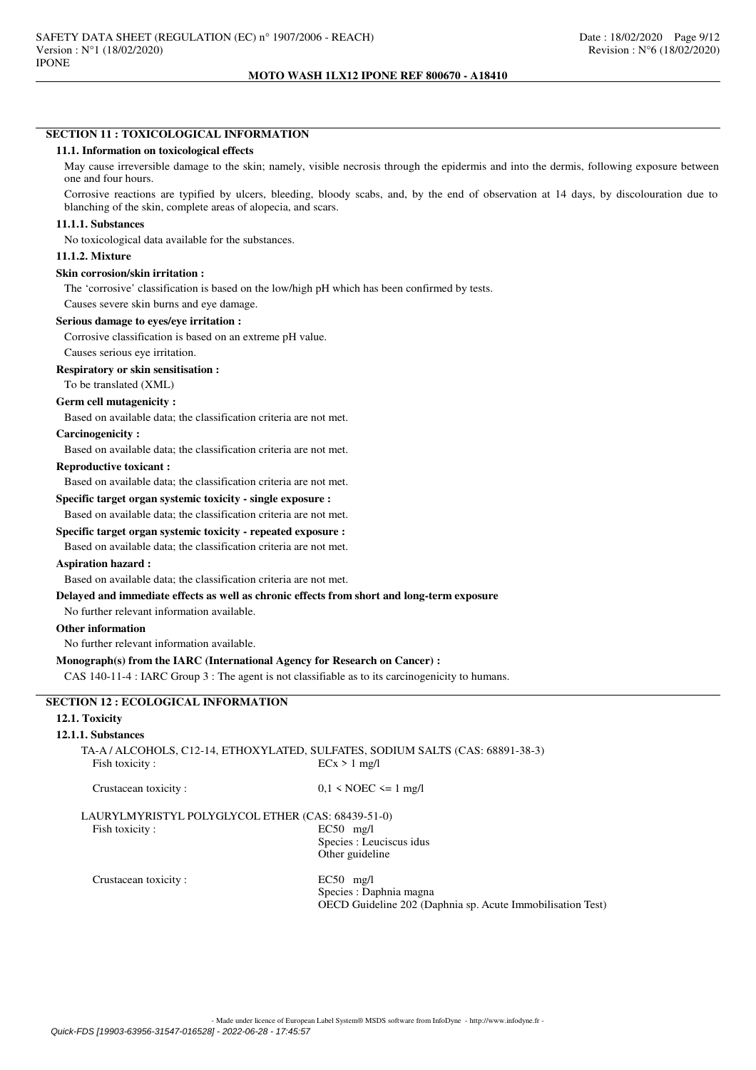# **SECTION 11 : TOXICOLOGICAL INFORMATION**

## **11.1. Information on toxicological effects**

May cause irreversible damage to the skin; namely, visible necrosis through the epidermis and into the dermis, following exposure between one and four hours.

Corrosive reactions are typified by ulcers, bleeding, bloody scabs, and, by the end of observation at 14 days, by discolouration due to blanching of the skin, complete areas of alopecia, and scars.

#### **11.1.1. Substances**

No toxicological data available for the substances.

# **11.1.2. Mixture**

### **Skin corrosion/skin irritation :**

The 'corrosive' classification is based on the low/high pH which has been confirmed by tests.

Causes severe skin burns and eye damage.

#### **Serious damage to eyes/eye irritation :**

Corrosive classification is based on an extreme pH value.

# Causes serious eye irritation.

#### **Respiratory or skin sensitisation :**

To be translated (XML)

#### **Germ cell mutagenicity :**

Based on available data; the classification criteria are not met.

#### **Carcinogenicity :**

Based on available data; the classification criteria are not met.

# **Reproductive toxicant :**

Based on available data; the classification criteria are not met.

# **Specific target organ systemic toxicity - single exposure :**

Based on available data; the classification criteria are not met.

# **Specific target organ systemic toxicity - repeated exposure :**

Based on available data; the classification criteria are not met.

# **Aspiration hazard :**

Based on available data; the classification criteria are not met.

# **Delayed and immediate effects as well as chronic effects from short and long-term exposure**

No further relevant information available.

## **Other information**

No further relevant information available.

## **Monograph(s) from the IARC (International Agency for Research on Cancer) :**

CAS 140-11-4 : IARC Group 3 : The agent is not classifiable as to its carcinogenicity to humans.

# **SECTION 12 : ECOLOGICAL INFORMATION**

## **12.1. Toxicity**

#### **12.1.1. Substances**

TA-A / ALCOHOLS, C12-14, ETHOXYLATED, SULFATES, SODIUM SALTS (CAS: 68891-38-3) Fish toxicity :  $ECx > 1$  mg/l

Crustacean toxicity :  $0.1 \leq \text{NOEC} \leq 1 \text{ mg/l}$ 

## LAURYLMYRISTYL POLYGLYCOL ETHER (CAS: 68439-51-0) Fish toxicity : EC50 mg/l

Species : Leuciscus idus Other guideline

Crustacean toxicity : EC50 mg/l

Species : Daphnia magna OECD Guideline 202 (Daphnia sp. Acute Immobilisation Test)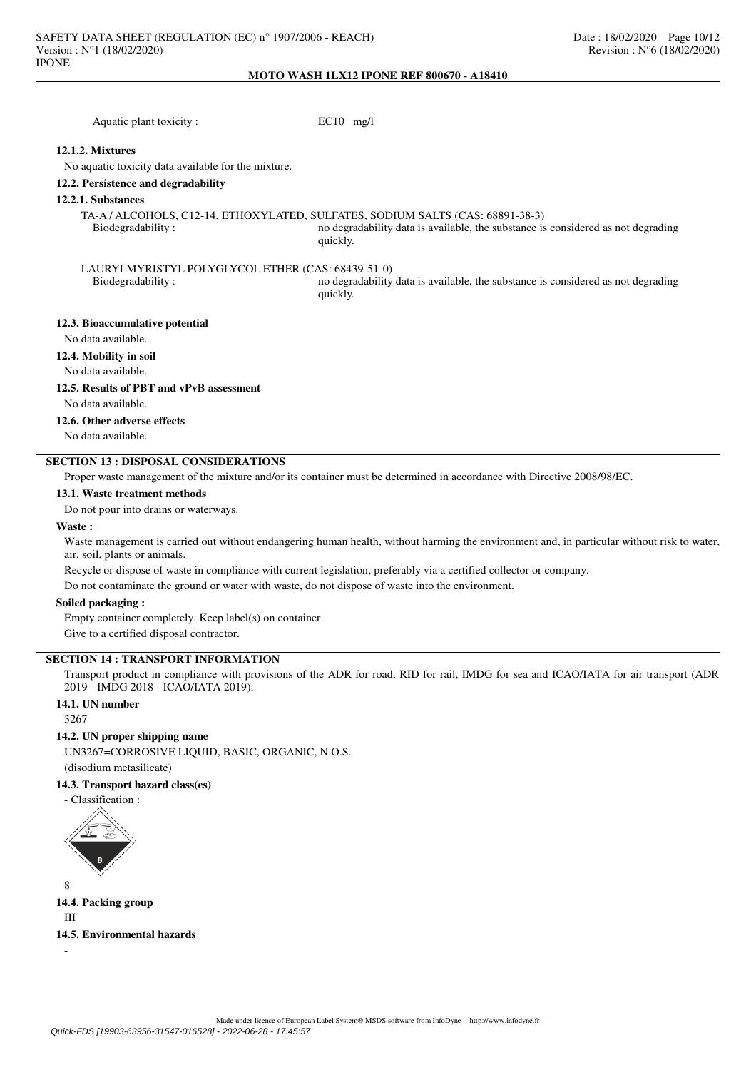| Aquatic plant toxicity:                             | $EC10$ mg/l                                                                                                                                                                    |
|-----------------------------------------------------|--------------------------------------------------------------------------------------------------------------------------------------------------------------------------------|
| 12.1.2. Mixtures                                    |                                                                                                                                                                                |
| No aquatic toxicity data available for the mixture. |                                                                                                                                                                                |
| 12.2. Persistence and degradability                 |                                                                                                                                                                                |
| 12.2.1. Substances                                  |                                                                                                                                                                                |
| Biodegradability:                                   | TA-A / ALCOHOLS, C12-14, ETHOXYLATED, SULFATES, SODIUM SALTS (CAS: 68891-38-3)<br>no degradability data is available, the substance is considered as not degrading<br>quickly. |
| LAURYLMYRISTYL POLYGLYCOL ETHER (CAS: 68439-51-0)   |                                                                                                                                                                                |
| Biodegradability:                                   | no degradability data is available, the substance is considered as not degrading<br>quickly.                                                                                   |
| 12.3. Bioaccumulative potential                     |                                                                                                                                                                                |
| No data available.                                  |                                                                                                                                                                                |
| 12.4. Mobility in soil                              |                                                                                                                                                                                |
| No data available.                                  |                                                                                                                                                                                |

# **12.5. Results of PBT and vPvB assessment**

No data available.

## **12.6. Other adverse effects**

No data available.

# **SECTION 13 : DISPOSAL CONSIDERATIONS**

Proper waste management of the mixture and/or its container must be determined in accordance with Directive 2008/98/EC.

# **13.1. Waste treatment methods**

Do not pour into drains or waterways.

## **Waste :**

Waste management is carried out without endangering human health, without harming the environment and, in particular without risk to water, air, soil, plants or animals.

Recycle or dispose of waste in compliance with current legislation, preferably via a certified collector or company.

Do not contaminate the ground or water with waste, do not dispose of waste into the environment.

## **Soiled packaging :**

Empty container completely. Keep label(s) on container. Give to a certified disposal contractor.

# **SECTION 14 : TRANSPORT INFORMATION**

Transport product in compliance with provisions of the ADR for road, RID for rail, IMDG for sea and ICAO/IATA for air transport (ADR 2019 - IMDG 2018 - ICAO/IATA 2019).

# **14.1. UN number**

3267

## **14.2. UN proper shipping name**

UN3267=CORROSIVE LIQUID, BASIC, ORGANIC, N.O.S.

(disodium metasilicate)

# **14.3. Transport hazard class(es)**

- Classification :



**14.4. Packing group** III

**14.5. Environmental hazards**

-

8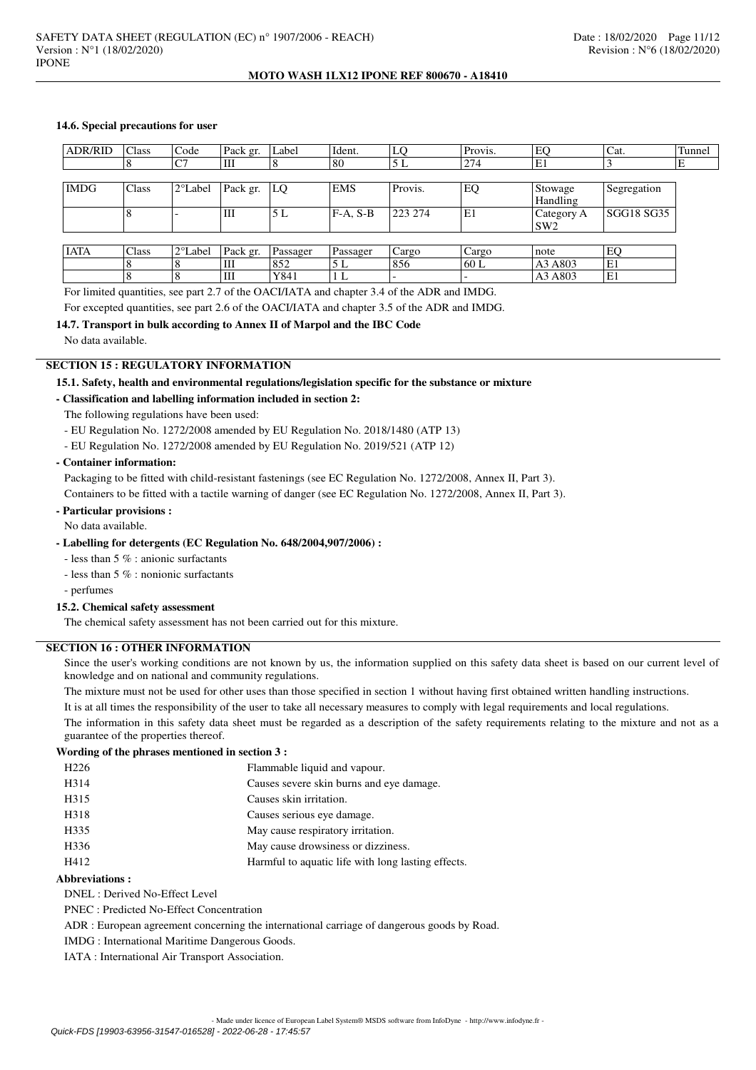## **14.6. Special precautions for user**

| <b>ADR/RID</b> | Class | Code              | Pack gr. | Label    | Ident.     | LO      | Provis.                  | EO             | Cat.        | Tunnel |
|----------------|-------|-------------------|----------|----------|------------|---------|--------------------------|----------------|-------------|--------|
|                |       | C7                | Ш        | 8        | 80         | 5 L     | 274                      | E1             |             | ΙE     |
|                |       |                   |          |          |            |         |                          |                |             |        |
| <b>IMDG</b>    | Class | $2^{\circ}$ Label | Pack gr. | LQ       | <b>EMS</b> | Provis. | EQ                       | Stowage        | Segregation |        |
|                |       |                   |          |          |            |         |                          | Handling       |             |        |
|                |       |                   | lШ       | 5 L      | $F-A, S-B$ | 223 274 | E1                       | $ $ Category A | ISGG18 SG35 |        |
|                |       |                   |          |          |            |         |                          | SW2            |             |        |
|                |       |                   |          |          |            |         |                          |                |             |        |
| <b>IATA</b>    | Class | 2°Label           | Pack gr. | Passager | Passager   | Cargo   | Cargo                    | note           | EQ          |        |
|                |       |                   | lШ       | 852      | 5L         | 856     | 60 L                     | A3 A803        | E1          |        |
|                |       |                   | IШ       | Y841     | 1 L        |         | $\overline{\phantom{0}}$ | A3 A803        | ΙE1         |        |

For limited quantities, see part 2.7 of the OACI/IATA and chapter 3.4 of the ADR and IMDG.

For excepted quantities, see part 2.6 of the OACI/IATA and chapter 3.5 of the ADR and IMDG.

# **14.7. Transport in bulk according to Annex II of Marpol and the IBC Code**

No data available.

# **SECTION 15 : REGULATORY INFORMATION**

# **15.1. Safety, health and environmental regulations/legislation specific for the substance or mixture**

# **- Classification and labelling information included in section 2:**

The following regulations have been used:

- EU Regulation No. 1272/2008 amended by EU Regulation No. 2018/1480 (ATP 13)
- EU Regulation No. 1272/2008 amended by EU Regulation No. 2019/521 (ATP 12)

## **- Container information:**

Packaging to be fitted with child-resistant fastenings (see EC Regulation No. 1272/2008, Annex II, Part 3). Containers to be fitted with a tactile warning of danger (see EC Regulation No. 1272/2008, Annex II, Part 3).

#### **- Particular provisions :**

No data available.

## **- Labelling for detergents (EC Regulation No. 648/2004,907/2006) :**

- less than 5 % : anionic surfactants

- less than 5 % : nonionic surfactants
- perfumes

## **15.2. Chemical safety assessment**

The chemical safety assessment has not been carried out for this mixture.

# **SECTION 16 : OTHER INFORMATION**

Since the user's working conditions are not known by us, the information supplied on this safety data sheet is based on our current level of knowledge and on national and community regulations.

The mixture must not be used for other uses than those specified in section 1 without having first obtained written handling instructions.

It is at all times the responsibility of the user to take all necessary measures to comply with legal requirements and local regulations.

The information in this safety data sheet must be regarded as a description of the safety requirements relating to the mixture and not as a guarantee of the properties thereof.

# **Wording of the phrases mentioned in section 3 :**

| H <sub>226</sub> | Flammable liquid and vapour.                       |
|------------------|----------------------------------------------------|
| H314             | Causes severe skin burns and eye damage.           |
| H315             | Causes skin irritation.                            |
| H318             | Causes serious eye damage.                         |
| H335             | May cause respiratory irritation.                  |
| H336             | May cause drowsiness or dizziness.                 |
| H412             | Harmful to aquatic life with long lasting effects. |

### **Abbreviations :**

- DNEL : Derived No-Effect Level
- PNEC : Predicted No-Effect Concentration
- ADR : European agreement concerning the international carriage of dangerous goods by Road.
- IMDG : International Maritime Dangerous Goods.

IATA : International Air Transport Association.